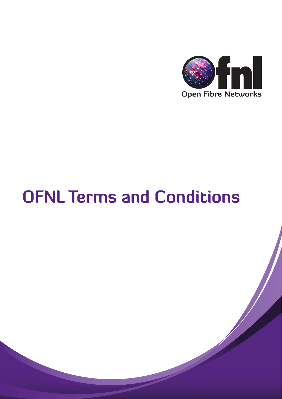

# **OFNL Terms and Conditions**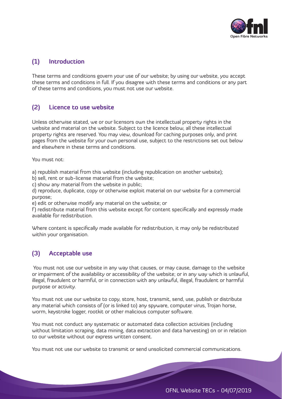

## **(1) Introduction**

These terms and conditions govern your use of our website; by using our website, you accept these terms and conditions in full. If you disagree with these terms and conditions or any part of these terms and conditions, you must not use our website.

## **(2) Licence to use website**

Unless otherwise stated, we or our licensors own the intellectual property rights in the website and material on the website. Subject to the licence below, all these intellectual property rights are reserved. You may view, download for caching purposes only, and print pages from the website for your own personal use, subject to the restrictions set out below and elsewhere in these terms and conditions.

You must not:

a) republish material from this website (including republication on another website);

b) sell, rent or sub-license material from the website;

c) show any material from the website in public;

d) reproduce, duplicate, copy or otherwise exploit material on our website for a commercial purpose;

e) edit or otherwise modify any material on the website; or

f) redistribute material from this website except for content specifically and expressly made available for redistribution.

Where content is specifically made available for redistribution, it may only be redistributed within your organisation.

# **(3) Acceptable use**

 You must not use our website in any way that causes, or may cause, damage to the website or impairment of the availability or accessibility of the website; or in any way which is unlawful, illegal, fraudulent or harmful, or in connection with any unlawful, illegal, fraudulent or harmful purpose or activity.

You must not use our website to copy, store, host, transmit, send, use, publish or distribute any material which consists of (or is linked to) any spyware, computer virus, Trojan horse, worm, keystroke logger, rootkit or other malicious computer software.

You must not conduct any systematic or automated data collection activities (including without limitation scraping, data mining, data extraction and data harvesting) on or in relation to our website without our express written consent.

You must not use our website to transmit or send unsolicited commercial communications.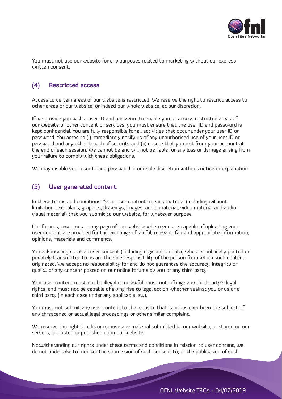

You must not use our website for any purposes related to marketing without our express written consent.

# **(4) Restricted access**

Access to certain areas of our website is restricted. We reserve the right to restrict access to other areas of our website, or indeed our whole website, at our discretion.

If we provide you with a user ID and password to enable you to access restricted areas of our website or other content or services, you must ensure that the user ID and password is kept confidential. You are fully responsible for all activities that occur under your user ID or password. You agree to (i) immediately notify us of any unauthorised use of your user ID or password and any other breach of security and (ii) ensure that you exit from your account at the end of each session. We cannot be and will not be liable for any loss or damage arising from your failure to comply with these obligations.

We may disable your user ID and password in our sole discretion without notice or explanation.

## **(5) User generated content**

In these terms and conditions, "your user content" means material (including without limitation text, plans, graphics, drawings, images, audio material, video material and audiovisual material) that you submit to our website, for whatever purpose.

Our forums, resources or any page of the website where you are capable of uploading your user content are provided for the exchange of lawful, relevant, fair and appropriate information, opinions, materials and comments.

You acknowledge that all user content (including registration data) whether publically posted or privately transmitted to us are the sole responsibility of the person from which such content originated. We accept no responsibility for and do not guarantee the accuracy, integrity or quality of any content posted on our online forums by you or any third party.

Your user content must not be illegal or unlawful, must not infringe any third party's legal rights, and must not be capable of giving rise to legal action whether against you or us or a third party (in each case under any applicable law).

You must not submit any user content to the website that is or has ever been the subject of any threatened or actual legal proceedings or other similar complaint.

We reserve the right to edit or remove any material submitted to our website, or stored on our servers, or hosted or published upon our website.

Notwithstanding our rights under these terms and conditions in relation to user content, we do not undertake to monitor the submission of such content to, or the publication of such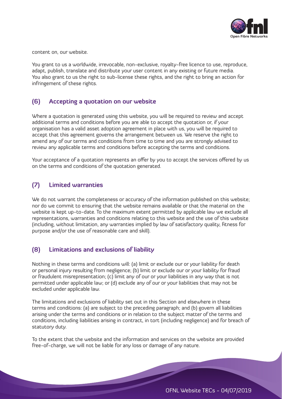

content on, our website.

You grant to us a worldwide, irrevocable, non-exclusive, royalty-free licence to use, reproduce, adapt, publish, translate and distribute your user content in any existing or future media. You also grant to us the right to sub-license these rights, and the right to bring an action for infringement of these rights.

## **(6) Accepting a quotation on our website**

Where a quotation is generated using this website, you will be required to review and accept additional terms and conditions before you are able to accept the quotation or, if your organisation has a valid asset adoption agreement in place with us, you will be required to accept that this agreement governs the arrangement between us. We reserve the right to amend any of our terms and conditions from time to time and you are strongly advised to review any applicable terms and conditions before accepting the terms and conditions.

Your acceptance of a quotation represents an offer by you to accept the services offered by us on the terms and conditions of the quotation generated.

# **(7) Limited warranties**

We do not warrant the completeness or accuracy of the information published on this website; nor do we commit to ensuring that the website remains available or that the material on the website is kept up-to-date. To the maximum extent permitted by applicable law we exclude all representations, warranties and conditions relating to this website and the use of this website (including, without limitation, any warranties implied by law of satisfactory quality, fitness for purpose and/or the use of reasonable care and skill).

## **(8) Limitations and exclusions of liability**

Nothing in these terms and conditions will: (a) limit or exclude our or your liability for death or personal injury resulting from negligence; (b) limit or exclude our or your liability for fraud or fraudulent misrepresentation; (c) limit any of our or your liabilities in any way that is not permitted under applicable law; or (d) exclude any of our or your liabilities that may not be excluded under applicable law.

The limitations and exclusions of liability set out in this Section and elsewhere in these terms and conditions: (a) are subject to the preceding paragraph; and (b) govern all liabilities arising under the terms and conditions or in relation to the subject matter of the terms and conditions, including liabilities arising in contract, in tort (including negligence) and for breach of statutory duty.

To the extent that the website and the information and services on the website are provided free-of-charge, we will not be liable for any loss or damage of any nature.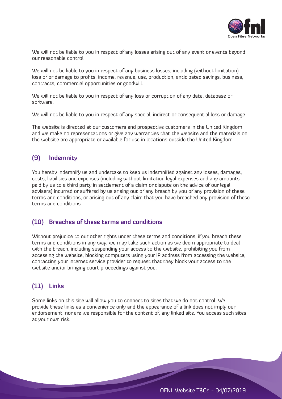

We will not be liable to you in respect of any losses arising out of any event or events beyond our reasonable control.

We will not be liable to you in respect of any business losses, including (without limitation) loss of or damage to profits, income, revenue, use, production, anticipated savings, business, contracts, commercial opportunities or goodwill.

We will not be liable to you in respect of any loss or corruption of any data, database or software.

We will not be liable to you in respect of any special, indirect or consequential loss or damage.

The website is directed at our customers and prospective customers in the United Kingdom and we make no representations or give any warranties that the website and the materials on the website are appropriate or available for use in locations outside the United Kingdom.

## **(9) Indemnity**

You hereby indemnify us and undertake to keep us indemnified against any losses, damages, costs, liabilities and expenses (including without limitation legal expenses and any amounts paid by us to a third party in settlement of a claim or dispute on the advice of our legal advisers) incurred or suffered by us arising out of any breach by you of any provision of these terms and conditions, or arising out of any claim that you have breached any provision of these terms and conditions.

#### **(10) Breaches of these terms and conditions**

Without prejudice to our other rights under these terms and conditions, if you breach these terms and conditions in any way, we may take such action as we deem appropriate to deal with the breach, including suspending your access to the website, prohibiting you from accessing the website, blocking computers using your IP address from accessing the website, contacting your internet service provider to request that they block your access to the website and/or bringing court proceedings against you.

## **(11) Links**

Some links on this site will allow you to connect to sites that we do not control. We provide these links as a convenience only and the appearance of a link does not imply our endorsement, nor are we responsible for the content of, any linked site. You access such sites at your own risk.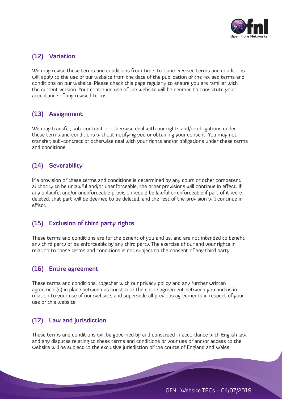

# **(12) Variation**

We may revise these terms and conditions from time-to-time. Revised terms and conditions will apply to the use of our website from the date of the publication of the revised terms and conditions on our website. Please check this page regularly to ensure you are familiar with the current version. Your continued use of the website will be deemed to constitute your acceptance of any revised terms.

# **(13) Assignment**

We may transfer, sub-contract or otherwise deal with our rights and/or obligations under these terms and conditions without notifying you or obtaining your consent. You may not transfer, sub-contract or otherwise deal with your rights and/or obligations under these terms and conditions.

# **(14) Severability**

If a provision of these terms and conditions is determined by any court or other competent authority to be unlawful and/or unenforceable, the other provisions will continue in effect. If any unlawful and/or unenforceable provision would be lawful or enforceable if part of it were deleted, that part will be deemed to be deleted, and the rest of the provision will continue in effect.

# **(15) Exclusion of third party rights**

These terms and conditions are for the benefit of you and us, and are not intended to benefit any third party or be enforceable by any third party. The exercise of our and your rights in relation to these terms and conditions is not subject to the consent of any third party.

## **(16) Entire agreement**

These terms and conditions, together with our privacy policy and any further written agreement(s) in place between us constitute the entire agreement between you and us in relation to your use of our website, and supersede all previous agreements in respect of your use of this website.

# **(17) Law and jurisdiction**

These terms and conditions will be governed by and construed in accordance with English law, and any disputes relating to these terms and conditions or your use of and/or access to the website will be subject to the exclusive jurisdiction of the courts of England and Wales.